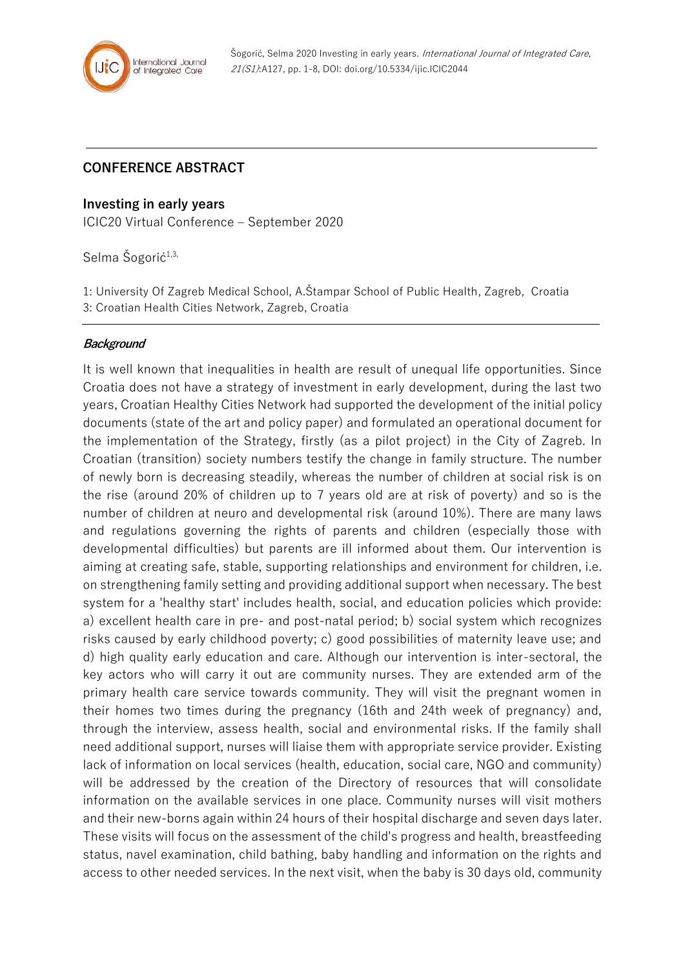

## **CONFERENCE ABSTRACT**

## **Investing in early years**

ICIC20 Virtual Conference – September 2020

Selma Šogorić<sup>1,3,</sup>

1: University Of Zagreb Medical School, A.Štampar School of Public Health, Zagreb, Croatia

3: Croatian Health Cities Network, Zagreb, Croatia

## **Background**

It is well known that inequalities in health are result of unequal life opportunities. Since Croatia does not have a strategy of investment in early development, during the last two years, Croatian Healthy Cities Network had supported the development of the initial policy documents (state of the art and policy paper) and formulated an operational document for the implementation of the Strategy, firstly (as a pilot project) in the City of Zagreb. In Croatian (transition) society numbers testify the change in family structure. The number of newly born is decreasing steadily, whereas the number of children at social risk is on the rise (around 20% of children up to 7 years old are at risk of poverty) and so is the number of children at neuro and developmental risk (around 10%). There are many laws and regulations governing the rights of parents and children (especially those with developmental difficulties) but parents are ill informed about them. Our intervention is aiming at creating safe, stable, supporting relationships and environment for children, i.e. on strengthening family setting and providing additional support when necessary. The best system for a 'healthy start' includes health, social, and education policies which provide: a) excellent health care in pre- and post-natal period; b) social system which recognizes risks caused by early childhood poverty; c) good possibilities of maternity leave use; and d) high quality early education and care. Although our intervention is inter-sectoral, the key actors who will carry it out are community nurses. They are extended arm of the primary health care service towards community. They will visit the pregnant women in their homes two times during the pregnancy (16th and 24th week of pregnancy) and, through the interview, assess health, social and environmental risks. If the family shall need additional support, nurses will liaise them with appropriate service provider. Existing lack of information on local services (health, education, social care, NGO and community) will be addressed by the creation of the Directory of resources that will consolidate information on the available services in one place. Community nurses will visit mothers and their new-borns again within 24 hours of their hospital discharge and seven days later. These visits will focus on the assessment of the child's progress and health, breastfeeding status, navel examination, child bathing, baby handling and information on the rights and access to other needed services. In the next visit, when the baby is 30 days old, community